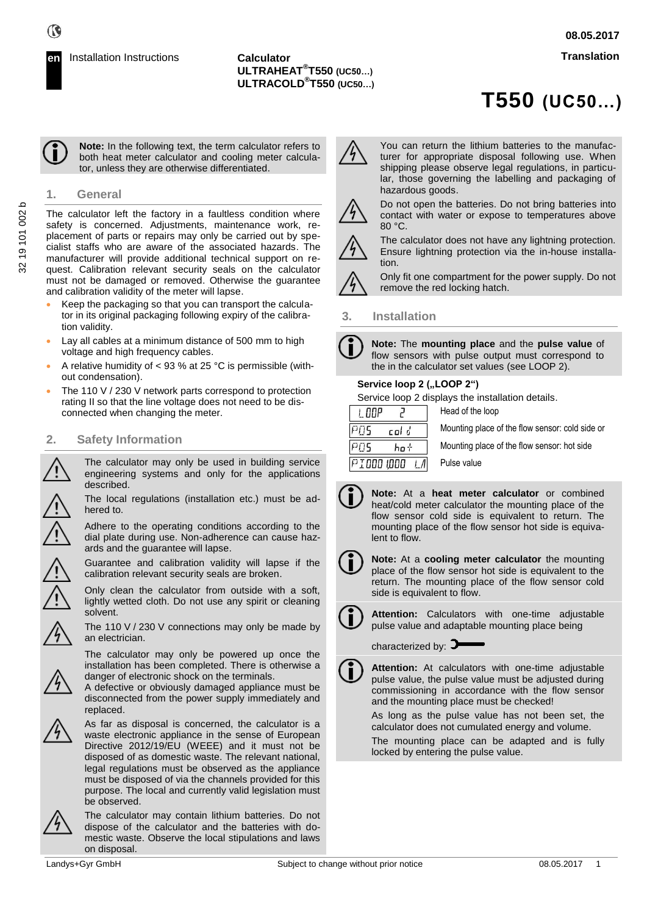

**Note:** In the following text, the term calculator refers to both heat meter calculator and cooling meter calculator, unless they are otherwise differentiated.

## **1. General**

The calculator left the factory in a faultless condition where safety is concerned. Adjustments, maintenance work, replacement of parts or repairs may only be carried out by specialist staffs who are aware of the associated hazards. The manufacturer will provide additional technical support on request. Calibration relevant security seals on the calculator must not be damaged or removed. Otherwise the guarantee and calibration validity of the meter will lapse.

- Keep the packaging so that you can transport the calculator in its original packaging following expiry of the calibration validity.
- Lay all cables at a minimum distance of 500 mm to high voltage and high frequency cables.
- A relative humidity of < 93 % at 25 °C is permissible (without condensation).
- The 110 V / 230 V network parts correspond to protection rating II so that the line voltage does not need to be disconnected when changing the meter.

## **2. Safety Information**

The calculator may only be used in building service engineering systems and only for the applications described.

The local regulations (installation etc.) must be adhered to.

Adhere to the operating conditions according to the dial plate during use. Non-adherence can cause hazards and the guarantee will lapse.

Guarantee and calibration validity will lapse if the calibration relevant security seals are broken.

Only clean the calculator from outside with a soft, lightly wetted cloth. Do not use any spirit or cleaning solvent.

The 110 V / 230 V connections may only be made by an electrician.

The calculator may only be powered up once the installation has been completed. There is otherwise a danger of electronic shock on the terminals.

A defective or obviously damaged appliance must be disconnected from the power supply immediately and replaced.



As far as disposal is concerned, the calculator is a waste electronic appliance in the sense of European Directive 2012/19/EU (WEEE) and it must not be disposed of as domestic waste. The relevant national, legal regulations must be observed as the appliance must be disposed of via the channels provided for this purpose. The local and currently valid legislation must be observed.



The calculator may contain lithium batteries. Do not dispose of the calculator and the batteries with domestic waste. Observe the local stipulations and laws on disposal.



You can return the lithium batteries to the manufacturer for appropriate disposal following use. When shipping please observe legal regulations, in particular, those governing the labelling and packaging of hazardous goods.



Do not open the batteries. Do not bring batteries into contact with water or expose to temperatures above 80 °C. The calculator does not have any lightning protection.



Ensure lightning protection via the in-house installation.

Only fit one compartment for the power supply. Do not remove the red locking hatch.

## **3. Installation**

**Note:** The **mounting place** and the **pulse value** of flow sensors with pulse output must correspond to the in the calculator set values (see LOOP 2).

#### **Service loop 2 ("LOOP 2")**

Service loop 2 displays the installation details.

| I NNP        | Head of the loop                                |
|--------------|-------------------------------------------------|
| PNS<br>col d | Mounting place of the flow sensor: cold side or |
| PN5<br>ho t  | Mounting place of the flow sensor: hot side     |
| PIOOO 1000   | Pulse value                                     |

**Note:** At a **heat meter calculator** or combined heat/cold meter calculator the mounting place of the flow sensor cold side is equivalent to return. The mounting place of the flow sensor hot side is equivalent to flow.



**Note:** At a **cooling meter calculator** the mounting place of the flow sensor hot side is equivalent to the return. The mounting place of the flow sensor cold side is equivalent to flow.

**Attention:** Calculators with one-time adjustable pulse value and adaptable mounting place being

characterized by:  $\blacktriangleright$ 

**Attention:** At calculators with one-time adjustable pulse value, the pulse value must be adjusted during commissioning in accordance with the flow sensor and the mounting place must be checked!

As long as the pulse value has not been set, the calculator does not cumulated energy and volume.

The mounting place can be adapted and is fully locked by entering the pulse value.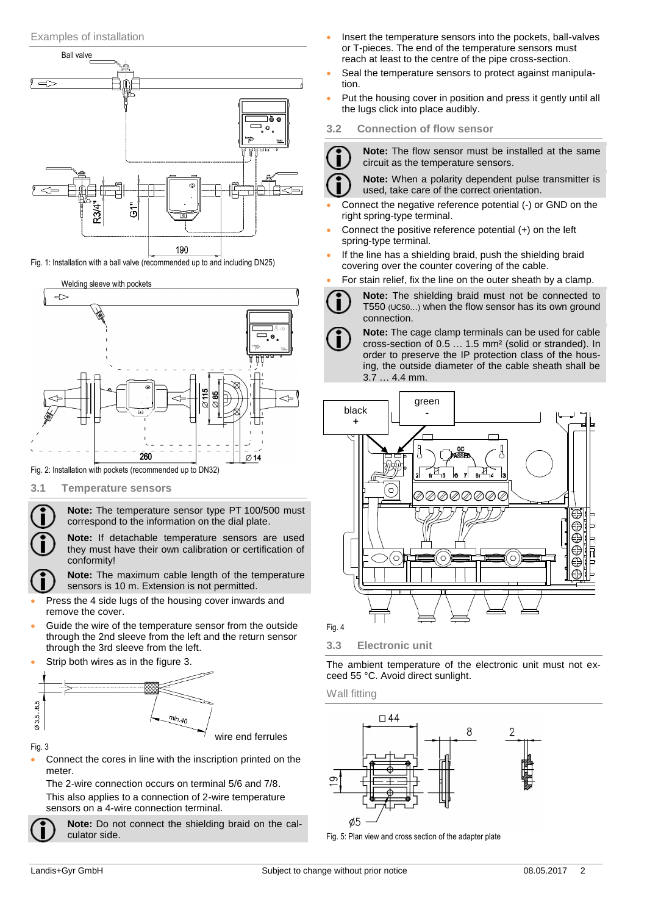

Fig. 1: Installation with a ball valve (recommended up to and including DN25)



Fig. 2: Installation with pockets (recommended up to DN32)

**3.1 Temperature sensors**

**Note:** The temperature sensor type PT 100/500 must correspond to the information on the dial plate.

**Note:** If detachable temperature sensors are used they must have their own calibration or certification of conformity!

**Note:** The maximum cable length of the temperature sensors is 10 m. Extension is not permitted.

- Press the 4 side lugs of the housing cover inwards and remove the cover.
- Guide the wire of the temperature sensor from the outside through the 2nd sleeve from the left and the return sensor through the 3rd sleeve from the left.
- Strip both wires as in the figure 3.



Fig. 3

 Connect the cores in line with the inscription printed on the meter.

The 2-wire connection occurs on terminal 5/6 and 7/8. This also applies to a connection of 2-wire temperature sensors on a 4-wire connection terminal.

**Note:** Do not connect the shielding braid on the calculator side.

- Insert the temperature sensors into the pockets, ball-valves or T-pieces. The end of the temperature sensors must reach at least to the centre of the pipe cross-section.
- Seal the temperature sensors to protect against manipulation.
- Put the housing cover in position and press it gently until all the lugs click into place audibly.
- **3.2 Connection of flow sensor**

**Note:** The flow sensor must be installed at the same circuit as the temperature sensors.

**Note:** When a polarity dependent pulse transmitter is used, take care of the correct orientation.

- Connect the negative reference potential (-) or GND on the right spring-type terminal.
- Connect the positive reference potential (+) on the left spring-type terminal.
- If the line has a shielding braid, push the shielding braid covering over the counter covering of the cable.
- For stain relief, fix the line on the outer sheath by a clamp.
	- **Note:** The shielding braid must not be connected to T550 (UC50…) when the flow sensor has its own ground connection.
	- **Note:** The cage clamp terminals can be used for cable cross-section of 0.5 … 1.5 mm² (solid or stranded). In order to preserve the IP protection class of the housing, the outside diameter of the cable sheath shall be 3.7 … 4.4 mm.



**3.3 Electronic unit**

The ambient temperature of the electronic unit must not exceed 55 °C. Avoid direct sunlight.

Wall fitting



Fig. 5: Plan view and cross section of the adapter plate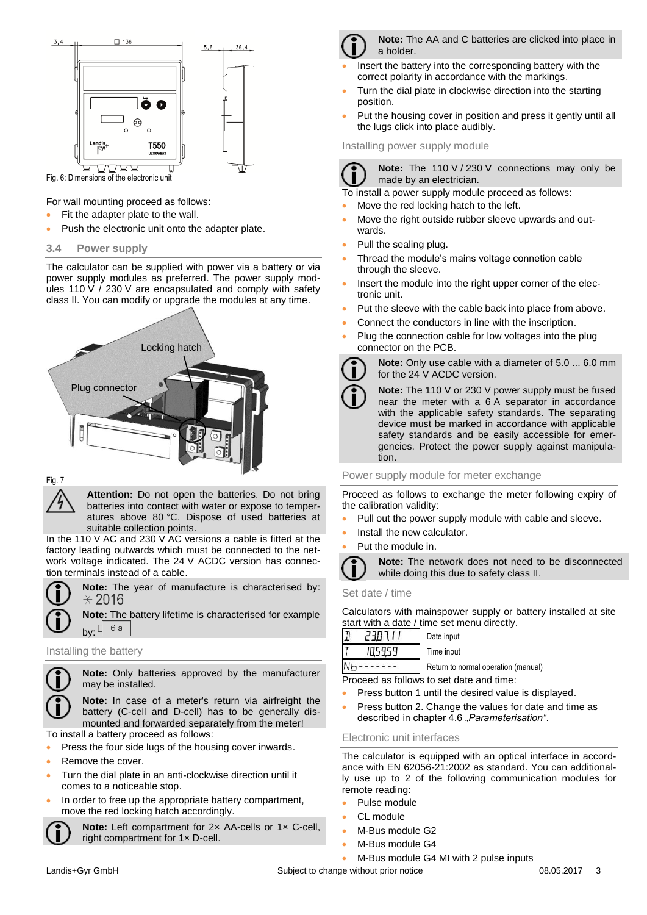

For wall mounting proceed as follows:

- Fit the adapter plate to the wall.
- Push the electronic unit onto the adapter plate.
- **3.4 Power supply**

The calculator can be supplied with power via a battery or via power supply modules as preferred. The power supply modules 110 V / 230 V are encapsulated and comply with safety class II. You can modify or upgrade the modules at any time.



# Fig. 7

**Attention:** Do not open the batteries. Do not bring batteries into contact with water or expose to temperatures above 80 °C. Dispose of used batteries at suitable collection points.

In the 110 V AC and 230 V AC versions a cable is fitted at the factory leading outwards which must be connected to the network voltage indicated. The 24 V ACDC version has connection terminals instead of a cable.



**Note:** The year of manufacture is characterised by:  $\star$  2016

**Note:** The battery lifetime is characterised for example by:  $[6a]$ 

#### Installing the battery



**Note:** Only batteries approved by the manufacturer may be installed.

**Note:** In case of a meter's return via airfreight the battery (C-cell and D-cell) has to be generally dismounted and forwarded separately from the meter!

To install a battery proceed as follows:

- Press the four side lugs of the housing cover inwards.
- Remove the cover.
- Turn the dial plate in an anti-clockwise direction until it comes to a noticeable stop.
- In order to free up the appropriate battery compartment, move the red locking hatch accordingly.



**Note:** Left compartment for 2× AA-cells or 1× C-cell, right compartment for 1× D-cell.



**Note:** The AA and C batteries are clicked into place in a holder.

- Insert the battery into the corresponding battery with the correct polarity in accordance with the markings.
- Turn the dial plate in clockwise direction into the starting position.
- Put the housing cover in position and press it gently until all the lugs click into place audibly.

Installing power supply module



**Note:** The 110 V / 230 V connections may only be made by an electrician.

To install a power supply module proceed as follows:

- Move the red locking hatch to the left.
- Move the right outside rubber sleeve upwards and outwards.
- Pull the sealing plug.
- Thread the module's mains voltage connetion cable through the sleeve.
- Insert the module into the right upper corner of the electronic unit.
- Put the sleeve with the cable back into place from above.
- Connect the conductors in line with the inscription.
	- Plug the connection cable for low voltages into the plug connector on the PCB.



**Note:** Only use cable with a diameter of 5.0 ... 6.0 mm for the 24 V ACDC version.

**Note:** The 110 V or 230 V power supply must be fused near the meter with a 6 A separator in accordance with the applicable safety standards. The separating device must be marked in accordance with applicable safety standards and be easily accessible for emergencies. Protect the power supply against manipulation.

Power supply module for meter exchange

Proceed as follows to exchange the meter following expiry of the calibration validity:

- Pull out the power supply module with cable and sleeve.
- Install the new calculator.
- Put the module in.



#### Set date / time

Calculators with mainspower supply or battery installed at site start with a date / time set menu directly.

|   | 230111 | Date input      |
|---|--------|-----------------|
|   | 105959 | Time input      |
| V |        | Return to norma |

al operation (manual) Proceed as follows to set date and time:

- Press button 1 until the desired value is displayed.
- Press button 2. Change the values for date and time as described in chapter 4.6 "*Parameterisation"*.

## Electronic unit interfaces

The calculator is equipped with an optical interface in accordance with EN 62056-21:2002 as standard. You can additionally use up to 2 of the following communication modules for remote reading:

- Pulse module
- CL module
- M-Bus module G2
- M-Bus module G4

M-Bus module G4 MI with 2 pulse inputs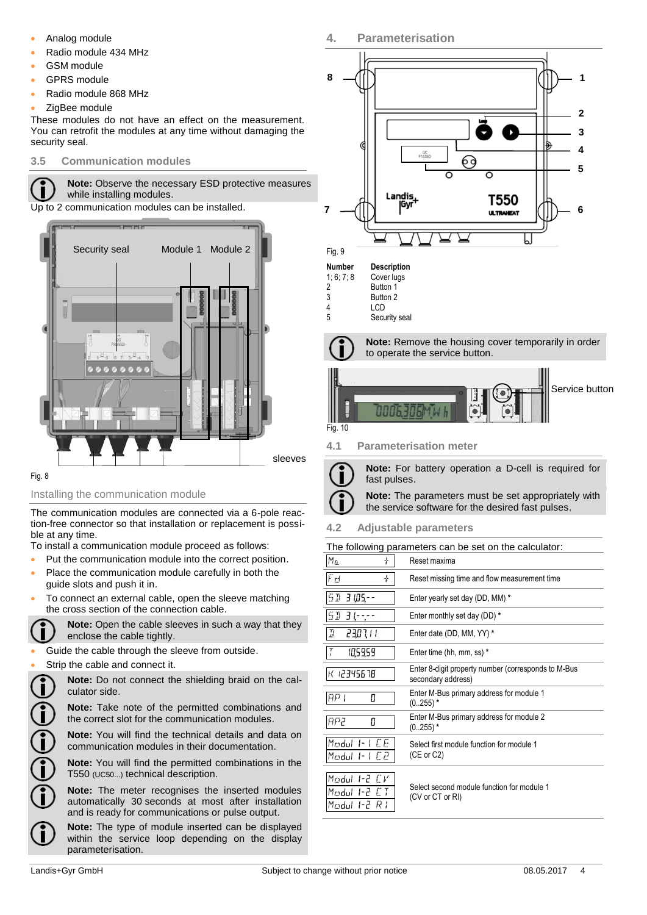- Analog module
- Radio module 434 MHz
- GSM module
- GPRS module
- Radio module 868 MHz
- ZigBee module

These modules do not have an effect on the measurement. You can retrofit the modules at any time without damaging the security seal.

## **3.5 Communication modules**



**Note:** Observe the necessary ESD protective measures while installing modules.

Up to 2 communication modules can be installed.



#### Fig. 8

## Installing the communication module

The communication modules are connected via a 6-pole reaction-free connector so that installation or replacement is possible at any time.

To install a communication module proceed as follows:

- Put the communication module into the correct position.
- Place the communication module carefully in both the guide slots and push it in.
- To connect an external cable, open the sleeve matching the cross section of the connection cable.



**Note:** Open the cable sleeves in such a way that they enclose the cable tightly.

Guide the cable through the sleeve from outside.

Strip the cable and connect it.

**Note:** Do not connect the shielding braid on the calculator side.

**Note:** Take note of the permitted combinations and the correct slot for the communication modules.

**Note:** You will find the technical details and data on communication modules in their documentation.

**Note:** You will find the permitted combinations in the T550 (UC50...) technical description.

**Note:** The meter recognises the inserted modules automatically 30 seconds at most after installation and is ready for communications or pulse output.

**Note:** The type of module inserted can be displayed within the service loop depending on the display parameterisation.



**Note:** For battery operation a D-cell is required for fast pulses.





**Note:** The parameters must be set appropriately with

the service software for the desired fast pulses.

## **4.2 Adjustable parameters**

**4. Parameterisation**

The following parameters can be set on the calculator:

| Ma<br>÷                                        | Reset maxima                                                              |
|------------------------------------------------|---------------------------------------------------------------------------|
| ÷<br>Fd                                        | Reset missing time and flow measurement time                              |
| 51<br>3 105 - -                                | Enter yearly set day (DD, MM) *                                           |
| 51<br>3 l-                                     | Enter monthly set day (DD) *                                              |
| I<br>2307.II                                   | Enter date (DD, MM, YY) *                                                 |
| 10,59,59                                       | Enter time (hh, mm, ss) *                                                 |
| 12345678                                       | Enter 8-digit property number (corresponds to M-Bus<br>secondary address) |
| FIF1 I<br>Π                                    | Enter M-Bus primary address for module 1<br>$(0.255)$ *                   |
| AP2<br>П                                       | Enter M-Bus primary address for module 2<br>$(0.255)$ *                   |
| Modul 1-1 C.E.<br>Modul I-I C2                 | Select first module function for module 1<br>(CE or C2)                   |
| Modul 1-2 CV<br>Modul 1-2 C.T<br>Madul 1-2 R I | Select second module function for module 1<br>(CV or CT or RI)            |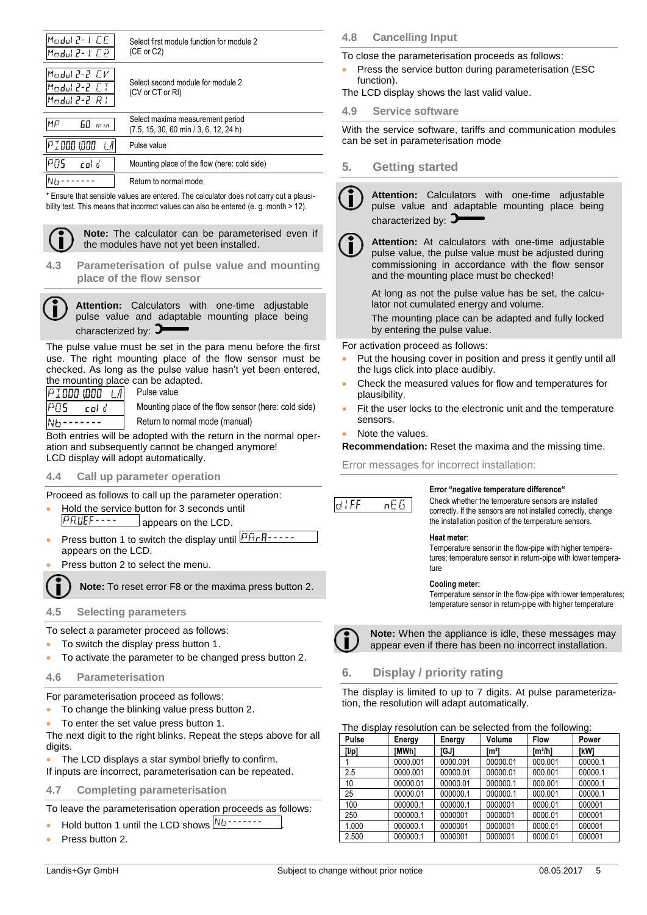| Modul 2- L.C.E.<br>53 1-5 luboM               | Select first module function for module 2<br>(CE or C2)                    |
|-----------------------------------------------|----------------------------------------------------------------------------|
| Modul 2-2 CV<br>Modul 2-2 CT<br>Modul 2-2 R I | Select second module for module 2<br>(CV or CT or RI)                      |
| MFJ<br>60<br>m n                              | Select maxima measurement period<br>(7.5, 15, 30, 60 min / 3, 6, 12, 24 h) |
| PIOOO WOO                                     | Pulse value                                                                |
| PN5<br>col d                                  | Mounting place of the flow (here: cold side)                               |
|                                               | Return to normal mode                                                      |

\* Ensure that sensible values are entered. The calculator does not carry out a plausibility test. This means that incorrect values can also be entered (e. g. month > 12).

**Note:** The calculator can be parameterised even if the modules have not yet been installed.

**4.3 Parameterisation of pulse value and mounting place of the flow sensor**



**Attention:** Calculators with one-time adjustable pulse value and adaptable mounting place being characterized by:  $\blacktriangleright$ 

The pulse value must be set in the para menu before the first use. The right mounting place of the flow sensor must be checked. As long as the pulse value hasn't yet been entered, the mounting place can be adapted.

PIDDD 1000 I.A POS col d  $Nb$ -------

Mounting place of the flow sensor (here: cold side) Return to normal mode (manual)

Both entries will be adopted with the return in the normal operation and subsequently cannot be changed anymore! LCD display will adopt automatically.

#### **4.4 Call up parameter operation**

Proceed as follows to call up the parameter operation:

Pulse value

- Hold the service button for 3 seconds until PRUEF---appears on the LCD.
- Press button 1 to switch the display until  $\sqrt{\frac{P H r R 1 1}{P H r R}}$ appears on the LCD.
- Press button 2 to select the menu.

**Note:** To reset error F8 or the maxima press button 2.

## **4.5 Selecting parameters**

To select a parameter proceed as follows:

- To switch the display press button 1.
- To activate the parameter to be changed press button 2.
- **4.6 Parameterisation**

For parameterisation proceed as follows:

- To change the blinking value press button 2.
- To enter the set value press button 1.

The next digit to the right blinks. Repeat the steps above for all digits.

 The LCD displays a star symbol briefly to confirm. If inputs are incorrect, parameterisation can be repeated.

## **4.7 Completing parameterisation**

To leave the parameterisation operation proceeds as follows:

- Hold button 1 until the LCD shows  $Nb$ -------
- Press button 2.

**4.8 Cancelling Input**

To close the parameterisation proceeds as follows:

- Press the service button during parameterisation (ESC function).
- The LCD display shows the last valid value.

**4.9 Service software**

With the service software, tariffs and communication modules can be set in parameterisation mode

## **5. Getting started**

**Attention:** Calculators with one-time adjustable pulse value and adaptable mounting place being characterized by:  $\blacktriangleright$ 



**Attention:** At calculators with one-time adjustable pulse value, the pulse value must be adjusted during commissioning in accordance with the flow sensor and the mounting place must be checked!

At long as not the pulse value has be set, the calculator not cumulated energy and volume.

The mounting place can be adapted and fully locked by entering the pulse value.

For activation proceed as follows:

- Put the housing cover in position and press it gently until all the lugs click into place audibly.
- Check the measured values for flow and temperatures for plausibility.
- Fit the user locks to the electronic unit and the temperature sensors.
- Note the values.

**Recommendation:** Reset the maxima and the missing time.

Error messages for incorrect installation:



#### **Error "negative temperature difference"**

Check whether the temperature sensors are installed correctly. If the sensors are not installed correctly, change the installation position of the temperature sensors.

#### **Heat meter**:

Temperature sensor in the flow-pipe with higher temperatures; temperature sensor in return-pipe with lower temperature

#### **Cooling meter:**

Temperature sensor in the flow-pipe with lower temperatures; temperature sensor in return-pipe with higher temperature



**Note:** When the appliance is idle, these messages may appear even if there has been no incorrect installation.

## **6. Display / priority rating**

The display is limited to up to 7 digits. At pulse parameterization, the resolution will adapt automatically.

| The display resolution can be selected from the following: |  |  |
|------------------------------------------------------------|--|--|
|                                                            |  |  |

| Pulse | Energy       | Energy   | Volume          | <b>Flow</b>         | Power       |
|-------|--------------|----------|-----------------|---------------------|-------------|
| [1/p] | <b>IMWh1</b> | igji     | Im <sup>3</sup> | Im <sup>3</sup> /h1 | <b>IkWI</b> |
|       | 0000.001     | 0000.001 | 00000.01        | 000.001             | 00000.1     |
| 2.5   | 0000.001     | 00000.01 | 00000.01        | 000.001             | 00000.1     |
| 10    | 00000.01     | 00000.01 | 000000.1        | 000.001             | 00000.1     |
| 25    | 00000.01     | 000000.1 | 000000.1        | 000.001             | 00000.1     |
| 100   | 000000.1     | 000000.1 | 0000001         | 0000.01             | 000001      |
| 250   | 000000.1     | 0000001  | 0000001         | 0000.01             | 000001      |
| 1.000 | 000000.1     | 0000001  | 0000001         | 0000.01             | 000001      |
| 2.500 | 000000.1     | 0000001  | 0000001         | 0000.01             | 000001      |